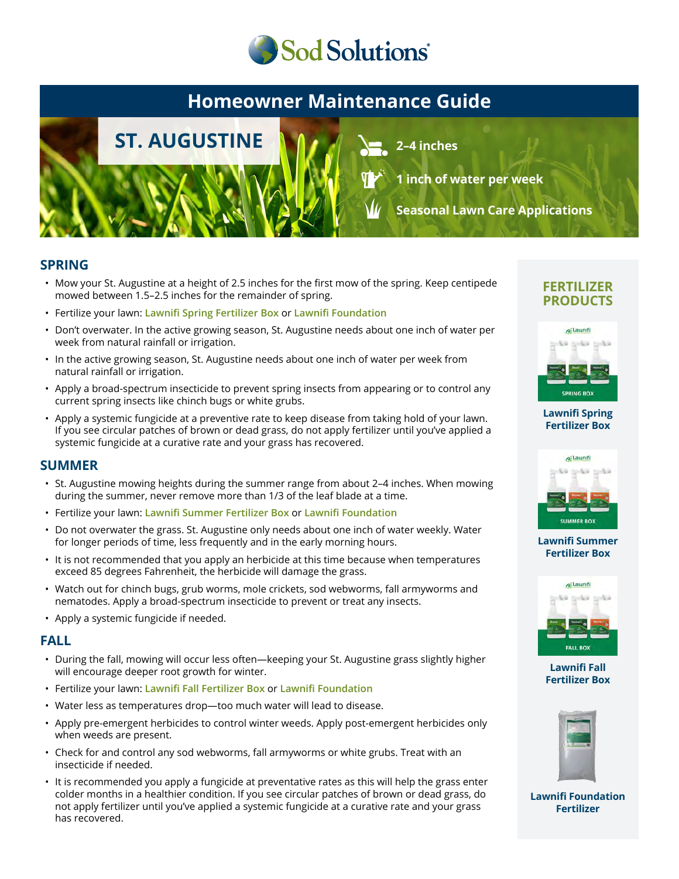

# **Homeowner Maintenance Guide**



**2–4 inches**

**1 inch of water per week**

**Seasonal Lawn Care Applications**

### **SPRING**

- Mow your St. Augustine at a height of 2.5 inches for the first mow of the spring. Keep centipede mowed between 1.5–2.5 inches for the remainder of spring.
- Fertilize your lawn: **Lawnifi Spring Fertilizer Box** or **Lawnifi Foundation**
- Don't overwater. In the active growing season, St. Augustine needs about one inch of water per week from natural rainfall or irrigation.
- In the active growing season, St. Augustine needs about one inch of water per week from natural rainfall or irrigation.
- Apply a broad-spectrum insecticide to prevent spring insects from appearing or to control any current spring insects like chinch bugs or white grubs.
- Apply a systemic fungicide at a preventive rate to keep disease from taking hold of your lawn. If you see circular patches of brown or dead grass, do not apply fertilizer until you've applied a systemic fungicide at a curative rate and your grass has recovered.

### **SUMMER**

- St. Augustine mowing heights during the summer range from about 2–4 inches. When mowing during the summer, never remove more than 1/3 of the leaf blade at a time.
- Fertilize your lawn: **Lawnifi Summer Fertilizer Box** or **Lawnifi Foundation**
- Do not overwater the grass. St. Augustine only needs about one inch of water weekly. Water for longer periods of time, less frequently and in the early morning hours.
- It is not recommended that you apply an herbicide at this time because when temperatures exceed 85 degrees Fahrenheit, the herbicide will damage the grass.
- Watch out for chinch bugs, grub worms, mole crickets, sod webworms, fall armyworms and nematodes. Apply a broad-spectrum insecticide to prevent or treat any insects.
- Apply a systemic fungicide if needed.

### **FALL**

- During the fall, mowing will occur less often—keeping your St. Augustine grass slightly higher will encourage deeper root growth for winter.
- Fertilize your lawn: **Lawnifi Fall Fertilizer Box** or **Lawnifi Foundation**
- Water less as temperatures drop—too much water will lead to disease.
- Apply pre-emergent herbicides to control winter weeds. Apply post-emergent herbicides only when weeds are present.
- Check for and control any sod webworms, fall armyworms or white grubs. Treat with an insecticide if needed.
- It is recommended you apply a fungicide at preventative rates as this will help the grass enter colder months in a healthier condition. If you see circular patches of brown or dead grass, do not apply fertilizer until you've applied a systemic fungicide at a curative rate and your grass has recovered.

### **FERTILIZER PRODUCTS**



#### **[Lawnifi Spring](https://sodsolutions.com/shop/fertilizer/spring-fertilizer-box/) Fertilizer Box**



#### **[Lawnifi Summer](https://sodsolutions.com/shop/fertilizer/summer-fertilizer-box/) Fertilizer Box**



**Lawnifi Fall [Fertilizer Box](https://sodsolutions.com/shop/fertilizer/fall-fertilizer-box/)**



**[Lawnifi Foundation](https://sodsolutions.com/shop/fertilizer/lawnifi-foundation/) Fertilizer**